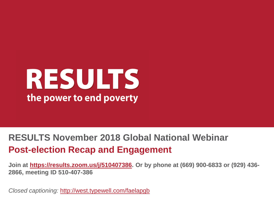# RESULTS the power to end poverty

#### **RESULTS November 2018 Global National Webinar Post-election Recap and Engagement**

**Join at [https://results.zoom.us/j/510407386.](https://results.zoom.us/j/510407386) Or by phone at (669) 900-6833 or (929) 436- 2866, meeting ID 510-407-386**

*Closed captioning:* <http://west.typewell.com/faelapgb>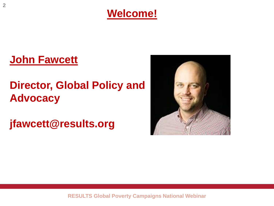

#### **John Fawcett**

## **Director, Global Policy and Advocacy**

**jfawcett@results.org**

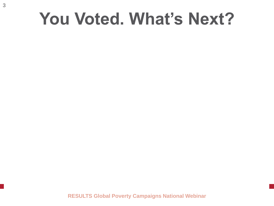## **You Voted. What's Next?**

**RESULTS Global Poverty Campaigns National Webinar**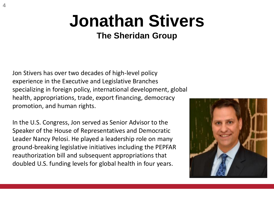# **Jonathan Stivers**

#### **The Sheridan Group**

Jon Stivers has over two decades of high-level policy experience in the Executive and Legislative Branches specializing in foreign policy, international development, global health, appropriations, trade, export financing, democracy promotion, and human rights.

In the U.S. Congress, Jon served as Senior Advisor to the Speaker of the House of Representatives and Democratic Leader Nancy Pelosi. He played a leadership role on many ground-breaking legislative initiatives including the PEPFAR reauthorization bill and subsequent appropriations that doubled U.S. funding levels for global health in four years.

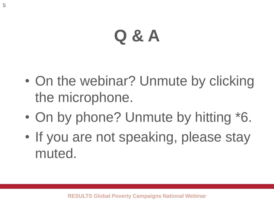# **Q & A**

- On the webinar? Unmute by clicking the microphone.
- On by phone? Unmute by hitting \*6.
- If you are not speaking, please stay muted.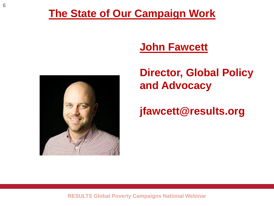#### **The State of Our Campaign Work**

#### **John Fawcett**



## **Director, Global Policy and Advocacy**

**jfawcett@results.org**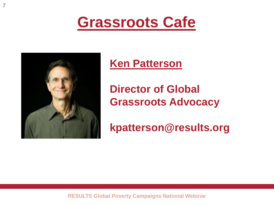



**7**

#### **Ken Patterson**

**Director of Global Grassroots Advocacy**

**kpatterson@results.org**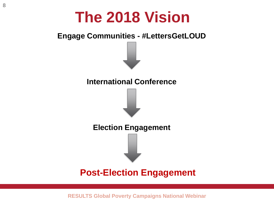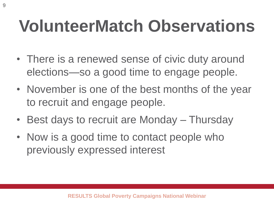# **VolunteerMatch Observations**

- There is a renewed sense of civic duty around elections—so a good time to engage people.
- November is one of the best months of the year to recruit and engage people.
- Best days to recruit are Monday Thursday
- Now is a good time to contact people who previously expressed interest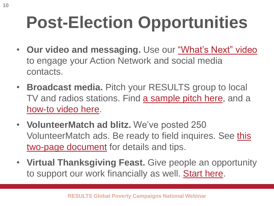# **Post-Election Opportunities**

- **Our video and messaging.** Use our ["What's Next" video](https://youtu.be/bEhTh1RX78g) to engage your Action Network and social media contacts.
- **Broadcast media.** Pitch your RESULTS group to local TV and radios stations. Find [a sample pitch here](https://www.results.org/uploads/files/Elections_2018_--_Broadcast_Pitch.docx), and a [how-to video here](https://results.zoom.us/recording/play/Nt3sxaDTQGjtyRSTpDNwpDK4ywCBd0pSF8PW7tRJp4sU09V6EH92Ln3BF2FRujcw?startTime=1540065002000).
- **VolunteerMatch ad blitz.** We've posted 250 [VolunteerMatch ads. Be ready to field inquires. See this](http://www.results.org/uploads/files/2018_Post-Election_VolunteerMatch_Campaign.docx) two-page document for details and tips.
- **Virtual Thanksgiving Feast.** Give people an opportunity to support our work financially as well. [Start here.](https://www.results.org/support_results/virtual_thanksgiving_feast_2018)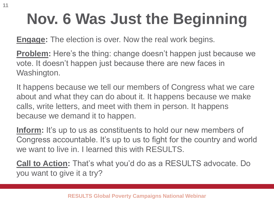# **Nov. 6 Was Just the Beginning**

**Engage:** The election is over. Now the real work begins.

**Problem:** Here's the thing: change doesn't happen just because we vote. It doesn't happen just because there are new faces in Washington.

It happens because we tell our members of Congress what we care about and what they can do about it. It happens because we make calls, write letters, and meet with them in person. It happens because we demand it to happen.

**Inform:** It's up to us as constituents to hold our new members of Congress accountable. It's up to us to fight for the country and world we want to live in. I learned this with RFSULTS.

**Call to Action:** That's what you'd do as a RESULTS advocate. Do you want to give it a try?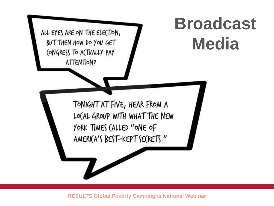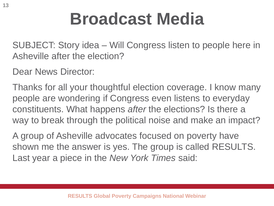# **Broadcast Media**

SUBJECT: Story idea – Will Congress listen to people here in Asheville after the election?

Dear News Director:

Thanks for all your thoughtful election coverage. I know many people are wondering if Congress even listens to everyday constituents. What happens *after* the elections? Is there a way to break through the political noise and make an impact?

A group of Asheville advocates focused on poverty have shown me the answer is yes. The group is called RESULTS. Last year a piece in the *New York Times* said: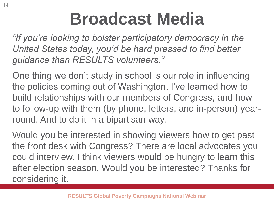# **Broadcast Media**

*"If you're looking to bolster participatory democracy in the United States today, you'd be hard pressed to find better guidance than RESULTS volunteers."* 

One thing we don't study in school is our role in influencing the policies coming out of Washington. I've learned how to build relationships with our members of Congress, and how to follow-up with them (by phone, letters, and in-person) yearround. And to do it in a bipartisan way.

Would you be interested in showing viewers how to get past the front desk with Congress? There are local advocates you could interview. I think viewers would be hungry to learn this after election season. Would you be interested? Thanks for considering it.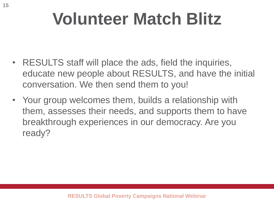# **Volunteer Match Blitz**

- RESULTS staff will place the ads, field the inquiries, educate new people about RESULTS, and have the initial conversation. We then send them to you!
- Your group welcomes them, builds a relationship with them, assesses their needs, and supports them to have breakthrough experiences in our democracy. Are you ready?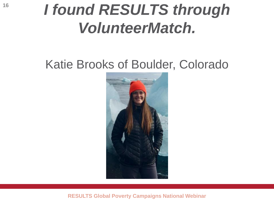## *I found RESULTS through VolunteerMatch.*

## Katie Brooks of Boulder, Colorado

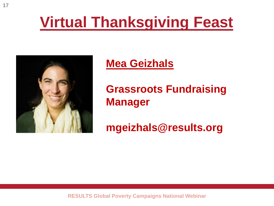## **Virtual Thanksgiving Feast**



#### **Mea Geizhals**

**Grassroots Fundraising Manager**

#### **mgeizhals@results.org**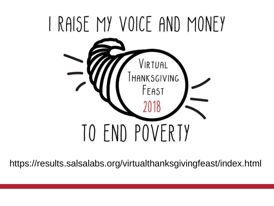

https://results.salsalabs.org/virtualthanksgivingfeast/index.html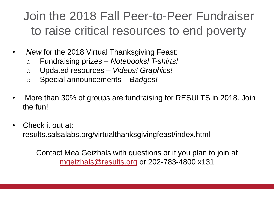## Join the 2018 Fall Peer-to-Peer Fundraiser to raise critical resources to end poverty

- *New* for the 2018 Virtual Thanksgiving Feast:
	- o Fundraising prizes *Notebooks! T-shirts!*
	- o Updated resources *Videos! Graphics!*
	- o Special announcements *Badges!*
- More than 30% of groups are fundraising for RESULTS in 2018. Join the fun!
- Check it out at: results.salsalabs.org/virtualthanksgivingfeast/index.html

Contact Mea Geizhals with questions or if you plan to join at [mgeizhals@results.org](mailto:mgeizhals@results.org) or 202-783-4800 x131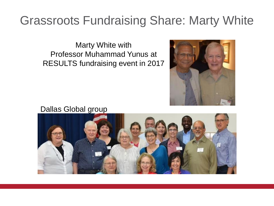## Grassroots Fundraising Share: Marty White

Marty White with Professor Muhammad Yunus at RESULTS fundraising event in 2017



Dallas Global group

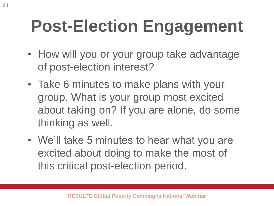# **Post-Election Engagement**

- How will you or your group take advantage of post-election interest?
- Take 6 minutes to make plans with your group. What is your group most excited about taking on? If you are alone, do some thinking as well.
- We'll take 5 minutes to hear what you are excited about doing to make the most of this critical post-election period.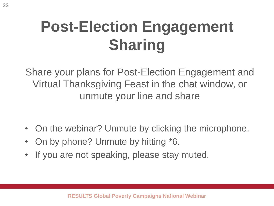## **Post-Election Engagement Sharing**

Share your plans for Post-Election Engagement and Virtual Thanksgiving Feast in the chat window, or unmute your line and share

- On the webinar? Unmute by clicking the microphone.
- On by phone? Unmute by hitting \*6.
- If you are not speaking, please stay muted.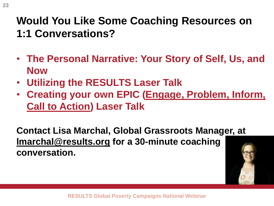### **Would You Like Some Coaching Resources on 1:1 Conversations?**

- **The Personal Narrative: Your Story of Self, Us, and Now**
- **Utilizing the RESULTS Laser Talk**
- **Creating your own EPIC (Engage, Problem, Inform, Call to Action) Laser Talk**

**Contact Lisa Marchal, Global Grassroots Manager, at [lmarchal@results.org](mailto:lmarchal@results.org) for a 30-minute coaching conversation.** 

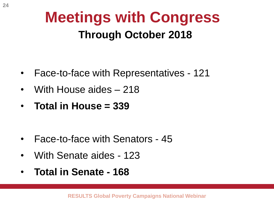## **Meetings with Congress Through October 2018**

- Face-to-face with Representatives 121
- With House aides 218
- **Total in House = 339**

- Face-to-face with Senators 45
- With Senate aides 123
- **Total in Senate - 168**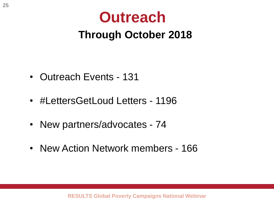## **Outreach Through October 2018**

- Outreach Events 131
- #LettersGetLoud Letters 1196
- New partners/advocates 74
- New Action Network members 166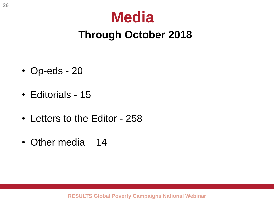## **Media Through October 2018**

- Op-eds 20
- Editorials 15
- Letters to the Editor 258
- Other media 14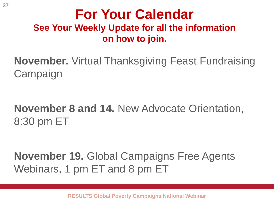### **For Your Calendar See Your Weekly Update for all the information on how to join.**

**November.** Virtual Thanksgiving Feast Fundraising **Campaign** 

## **November 8 and 14.** New Advocate Orientation, 8:30 pm ET

**November 19.** Global Campaigns Free Agents Webinars, 1 pm ET and 8 pm ET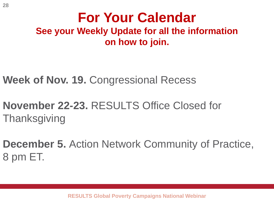### **For Your Calendar See your Weekly Update for all the information on how to join.**

**Week of Nov. 19.** Congressional Recess

- **November 22-23.** RESULTS Office Closed for **Thanksgiving**
- **December 5.** Action Network Community of Practice, 8 pm ET.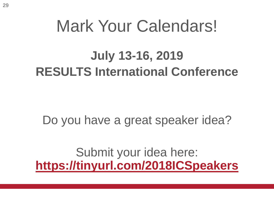## Mark Your Calendars!

## **July 13-16, 2019 RESULTS International Conference**

Do you have a great speaker idea?

Submit your idea here: **<https://tinyurl.com/2018ICSpeakers>**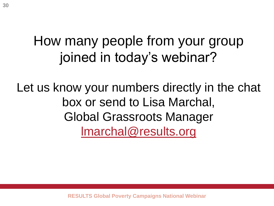## How many people from your group joined in today's webinar?

Let us know your numbers directly in the chat box or send to Lisa Marchal, Global Grassroots Manager [lmarchal@results.org](mailto:lmarchal@results.org)